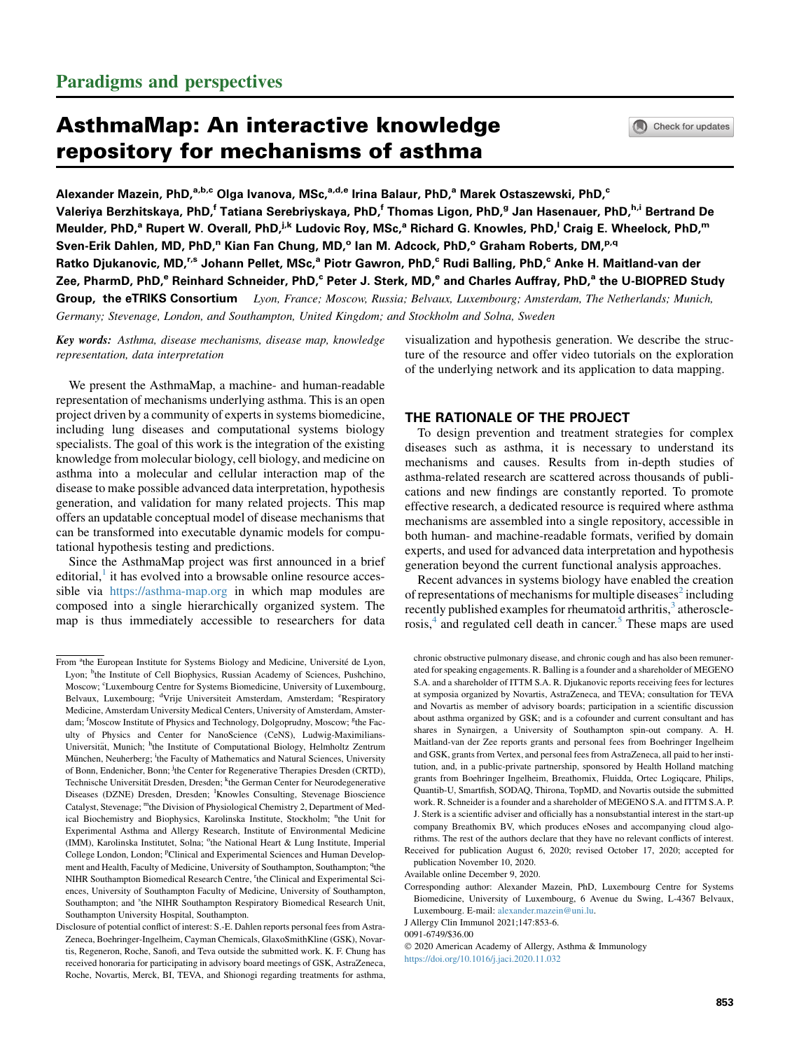# AsthmaMap: An interactive knowledge repository for mechanisms of asthma

Alexander Mazein, PhD,<sup>a,b,c</sup> Olga Ivanova, MSc,<sup>a,d,e</sup> Irina Balaur, PhD,<sup>a</sup> Marek Ostaszewski, PhD,<sup>c</sup> Valeriya Berzhitskaya, PhD,<sup>f</sup> Tatiana Serebriyskaya, PhD,<sup>f</sup> Thomas Ligon, PhD,<sup>g</sup> Jan Hasenauer, PhD,<sup>h,i</sup> Bertrand De Meulder, PhD,<sup>a</sup> Rupert W. Overall, PhD,<sup>j,k</sup> Ludovic Roy, MSc,<sup>a</sup> Richard G. Knowles, PhD,<sup>I</sup> Craig E. Wheelock, PhD,<sup>m</sup> Sven-Erik Dahlen, MD, PhD,<sup>n</sup> Kian Fan Chung, MD,° Ian M. Adcock, PhD,° Graham Roberts, DM,<sup>p,q</sup> Ratko Djukanovic, MD,<sup>r,s</sup> Johann Pellet, MSc,<sup>a</sup> Piotr Gawron, PhD,<sup>c</sup> Rudi Balling, PhD,<sup>c</sup> Anke H. Maitland-van der Zee, PharmD, PhD,<sup>e</sup> Reinhard Schneider, PhD,<sup>c</sup> Peter J. Sterk, MD,<sup>e</sup> and Charles Auffray, PhD,<sup>a</sup> the U-BIOPRED Study Group, the eTRIKS Consortium Lyon, France; Moscow, Russia; Belvaux, Luxembourg; Amsterdam, The Netherlands; Munich, Germany; Stevenage, London, and Southampton, United Kingdom; and Stockholm and Solna, Sweden

Key words: Asthma, disease mechanisms, disease map, knowledge representation, data interpretation

We present the AsthmaMap, a machine- and human-readable representation of mechanisms underlying asthma. This is an open project driven by a community of experts in systems biomedicine, including lung diseases and computational systems biology specialists. The goal of this work is the integration of the existing knowledge from molecular biology, cell biology, and medicine on asthma into a molecular and cellular interaction map of the disease to make possible advanced data interpretation, hypothesis generation, and validation for many related projects. This map offers an updatable conceptual model of disease mechanisms that can be transformed into executable dynamic models for computational hypothesis testing and predictions.

Since the AsthmaMap project was first announced in a brief editorial, $\frac{1}{1}$  $\frac{1}{1}$  $\frac{1}{1}$  it has evolved into a browsable online resource accessible via <https://asthma-map.org> in which map modules are composed into a single hierarchically organized system. The map is thus immediately accessible to researchers for data visualization and hypothesis generation. We describe the structure of the resource and offer video tutorials on the exploration of the underlying network and its application to data mapping.

## THE RATIONALE OF THE PROJECT

To design prevention and treatment strategies for complex diseases such as asthma, it is necessary to understand its mechanisms and causes. Results from in-depth studies of asthma-related research are scattered across thousands of publications and new findings are constantly reported. To promote effective research, a dedicated resource is required where asthma mechanisms are assembled into a single repository, accessible in both human- and machine-readable formats, verified by domain experts, and used for advanced data interpretation and hypothesis generation beyond the current functional analysis approaches.

Recent advances in systems biology have enabled the creation of representations of mechanisms for multiple diseases<sup>[2](#page-3-1)</sup> including recently published examples for rheumatoid arthritis,<sup>[3](#page-3-2)</sup> atheroscle-rosis,<sup>4</sup> and regulated cell death in cancer.<sup>[5](#page-3-4)</sup> These maps are used

chronic obstructive pulmonary disease, and chronic cough and has also been remunerated for speaking engagements. R. Balling is a founder and a shareholder of MEGENO S.A. and a shareholder of ITTM S.A. R. Djukanovic reports receiving fees for lectures at symposia organized by Novartis, AstraZeneca, and TEVA; consultation for TEVA and Novartis as member of advisory boards; participation in a scientific discussion about asthma organized by GSK; and is a cofounder and current consultant and has shares in Synairgen, a University of Southampton spin-out company. A. H. Maitland-van der Zee reports grants and personal fees from Boehringer Ingelheim and GSK, grants from Vertex, and personal fees from AstraZeneca, all paid to her institution, and, in a public-private partnership, sponsored by Health Holland matching grants from Boehringer Ingelheim, Breathomix, Fluidda, Ortec Logiqcare, Philips, Quantib-U, Smartfish, SODAQ, Thirona, TopMD, and Novartis outside the submitted work. R. Schneider is a founder and a shareholder of MEGENO S.A. and ITTM S.A. P. J. Sterk is a scientific adviser and officially has a nonsubstantial interest in the start-up company Breathomix BV, which produces eNoses and accompanying cloud algorithms. The rest of the authors declare that they have no relevant conflicts of interest.

Received for publication August 6, 2020; revised October 17, 2020; accepted for publication November 10, 2020.

Available online December 9, 2020.

Corresponding author: Alexander Mazein, PhD, Luxembourg Centre for Systems Biomedicine, University of Luxembourg, 6 Avenue du Swing, L-4367 Belvaux, Luxembourg. E-mail: [alexander.mazein@uni.lu.](mailto:alexander.mazein@uni.lu)

J Allergy Clin Immunol 2021;147:853-6.

0091-6749/\$36.00

 2020 American Academy of Allergy, Asthma & Immunology <https://doi.org/10.1016/j.jaci.2020.11.032>

From <sup>a</sup>the European Institute for Systems Biology and Medicine, Université de Lyon, Lyon; <sup>b</sup>the Institute of Cell Biophysics, Russian Academy of Sciences, Pushchino, Moscow; <sup>c</sup>Luxembourg Centre for Systems Biomedicine, University of Luxembourg, Belvaux, Luxembourg; <sup>d</sup>Vrije Universiteit Amsterdam, Amsterdam; <sup>e</sup>Respiratory Medicine, Amsterdam University Medical Centers, University of Amsterdam, Amsterdam; <sup>f</sup>Moscow Institute of Physics and Technology, Dolgoprudny, Moscow; <sup>g</sup>the Faculty of Physics and Center for NanoScience (CeNS), Ludwig-Maximilians-Universität, Munich; <sup>h</sup>the Institute of Computational Biology, Helmholtz Zentrum München, Neuherberg; <sup>i</sup>the Faculty of Mathematics and Natural Sciences, University of Bonn, Endenicher, Bonn; <sup>j</sup>the Center for Regenerative Therapies Dresden (CRTD), Technische Universität Dresden, Dresden; kthe German Center for Neurodegenerative Diseases (DZNE) Dresden, Dresden; <sup>1</sup>Knowles Consulting, Stevenage Bioscience Catalyst, Stevenage; "the Division of Physiological Chemistry 2, Department of Medical Biochemistry and Biophysics, Karolinska Institute, Stockholm; <sup>n</sup>the Unit for Experimental Asthma and Allergy Research, Institute of Environmental Medicine (IMM), Karolinska Institutet, Solna; <sup>o</sup>the National Heart & Lung Institute, Imperial College London, London; <sup>p</sup>Clinical and Experimental Sciences and Human Development and Health, Faculty of Medicine, University of Southampton, Southampton; <sup>q</sup>the NIHR Southampton Biomedical Research Centre, <sup>r</sup>the Clinical and Experimental Sciences, University of Southampton Faculty of Medicine, University of Southampton, Southampton; and <sup>s</sup>the NIHR Southampton Respiratory Biomedical Research Unit, Southampton University Hospital, Southampton.

Disclosure of potential conflict of interest: S.-E. Dahlen reports personal fees from Astra-Zeneca, Boehringer-Ingelheim, Cayman Chemicals, GlaxoSmithKline (GSK), Novartis, Regeneron, Roche, Sanofi, and Teva outside the submitted work. K. F. Chung has received honoraria for participating in advisory board meetings of GSK, AstraZeneca, Roche, Novartis, Merck, BI, TEVA, and Shionogi regarding treatments for asthma,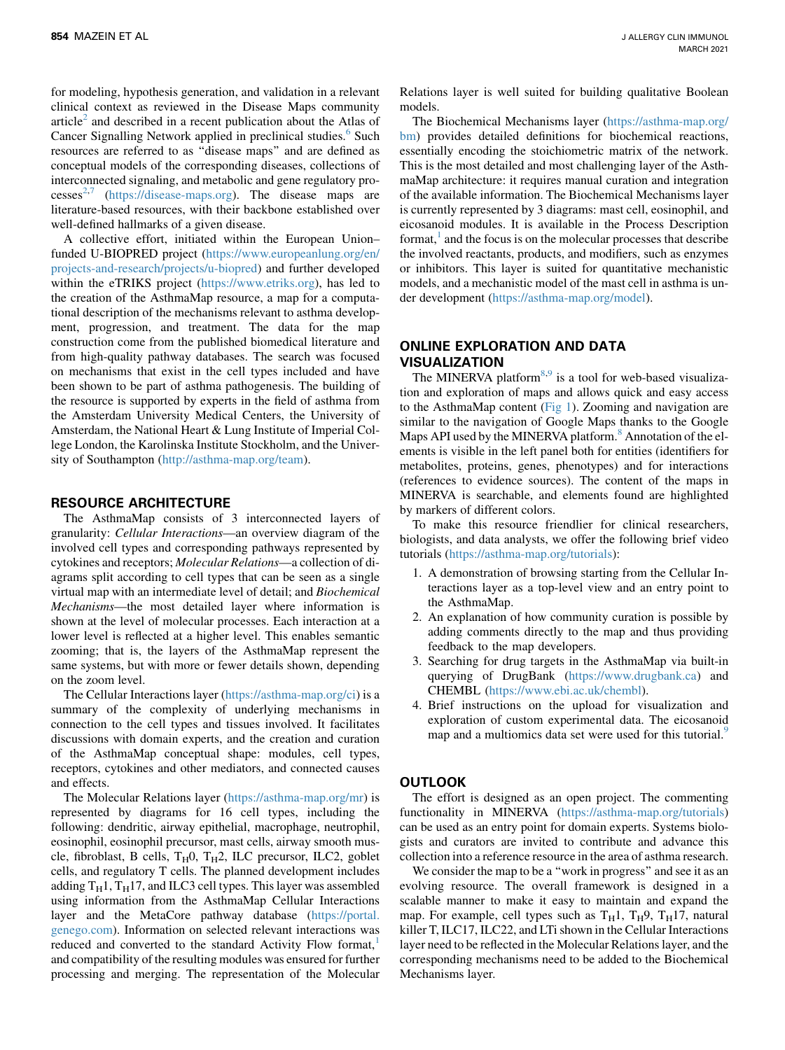for modeling, hypothesis generation, and validation in a relevant clinical context as reviewed in the Disease Maps community article<sup>[2](#page-3-1)</sup> and described in a recent publication about the Atlas of Cancer Signalling Network applied in preclinical studies.<sup>[6](#page-3-5)</sup> Such resources are referred to as ''disease maps'' and are defined as conceptual models of the corresponding diseases, collections of interconnected signaling, and metabolic and gene regulatory pro- $cesses<sup>2,7</sup>$  $cesses<sup>2,7</sup>$  $cesses<sup>2,7</sup>$  $cesses<sup>2,7</sup>$  $cesses<sup>2,7</sup>$  [\(https://disease-maps.org](https://disease-maps.org)). The disease maps are literature-based resources, with their backbone established over well-defined hallmarks of a given disease.

A collective effort, initiated within the European Union– funded U-BIOPRED project ([https://www.europeanlung.org/en/](https://www.europeanlung.org/en/projects-and-research/projects/u-biopred) [projects-and-research/projects/u-biopred\)](https://www.europeanlung.org/en/projects-and-research/projects/u-biopred) and further developed within the eTRIKS project [\(https://www.etriks.org\)](https://www.etriks.org), has led to the creation of the AsthmaMap resource, a map for a computational description of the mechanisms relevant to asthma development, progression, and treatment. The data for the map construction come from the published biomedical literature and from high-quality pathway databases. The search was focused on mechanisms that exist in the cell types included and have been shown to be part of asthma pathogenesis. The building of the resource is supported by experts in the field of asthma from the Amsterdam University Medical Centers, the University of Amsterdam, the National Heart & Lung Institute of Imperial College London, the Karolinska Institute Stockholm, and the University of Southampton (<http://asthma-map.org/team>).

### RESOURCE ARCHITECTURE

The AsthmaMap consists of 3 interconnected layers of granularity: Cellular Interactions—an overview diagram of the involved cell types and corresponding pathways represented by cytokines and receptors; Molecular Relations—a collection of diagrams split according to cell types that can be seen as a single virtual map with an intermediate level of detail; and Biochemical Mechanisms—the most detailed layer where information is shown at the level of molecular processes. Each interaction at a lower level is reflected at a higher level. This enables semantic zooming; that is, the layers of the AsthmaMap represent the same systems, but with more or fewer details shown, depending on the zoom level.

The Cellular Interactions layer [\(https://asthma-map.org/ci](https://asthma-map.org/ci)) is a summary of the complexity of underlying mechanisms in connection to the cell types and tissues involved. It facilitates discussions with domain experts, and the creation and curation of the AsthmaMap conceptual shape: modules, cell types, receptors, cytokines and other mediators, and connected causes and effects.

The Molecular Relations layer [\(https://asthma-map.org/mr\)](https://asthma-map.org/mr) is represented by diagrams for 16 cell types, including the following: dendritic, airway epithelial, macrophage, neutrophil, eosinophil, eosinophil precursor, mast cells, airway smooth muscle, fibroblast, B cells,  $T_H0$ ,  $T_H2$ , ILC precursor, ILC2, goblet cells, and regulatory T cells. The planned development includes adding  $T_H1$ ,  $T_H17$ , and ILC3 cell types. This layer was assembled using information from the AsthmaMap Cellular Interactions layer and the MetaCore pathway database [\(https://portal.](https://portal.genego.com) [genego.com](https://portal.genego.com)). Information on selected relevant interactions was reduced and converted to the standard Activity Flow format, and compatibility of the resulting modules was ensured for further processing and merging. The representation of the Molecular

Relations layer is well suited for building qualitative Boolean models.

The Biochemical Mechanisms layer ([https://asthma-map.org/](https://asthma-map.org/bm) [bm](https://asthma-map.org/bm)) provides detailed definitions for biochemical reactions, essentially encoding the stoichiometric matrix of the network. This is the most detailed and most challenging layer of the AsthmaMap architecture: it requires manual curation and integration of the available information. The Biochemical Mechanisms layer is currently represented by 3 diagrams: mast cell, eosinophil, and eicosanoid modules. It is available in the Process Description format, $<sup>1</sup>$  $<sup>1</sup>$  $<sup>1</sup>$  and the focus is on the molecular processes that describe</sup> the involved reactants, products, and modifiers, such as enzymes or inhibitors. This layer is suited for quantitative mechanistic models, and a mechanistic model of the mast cell in asthma is under development [\(https://asthma-map.org/model](https://asthma-map.org/model)).

## ONLINE EXPLORATION AND DATA VISUALIZATION

The MINERVA platform<sup>[8,](#page-3-7)[9](#page-3-8)</sup> is a tool for web-based visualization and exploration of maps and allows quick and easy access to the AsthmaMap content  $(Fig 1)$  $(Fig 1)$ . Zooming and navigation are similar to the navigation of Google Maps thanks to the Google Maps API used by the MINERVA platform.<sup>[8](#page-3-7)</sup> Annotation of the elements is visible in the left panel both for entities (identifiers for metabolites, proteins, genes, phenotypes) and for interactions (references to evidence sources). The content of the maps in MINERVA is searchable, and elements found are highlighted by markers of different colors.

To make this resource friendlier for clinical researchers, biologists, and data analysts, we offer the following brief video tutorials (<https://asthma-map.org/tutorials>):

- 1. A demonstration of browsing starting from the Cellular Interactions layer as a top-level view and an entry point to the AsthmaMap.
- 2. An explanation of how community curation is possible by adding comments directly to the map and thus providing feedback to the map developers.
- 3. Searching for drug targets in the AsthmaMap via built-in querying of DrugBank [\(https://www.drugbank.ca](https://www.drugbank.ca)) and CHEMBL (<https://www.ebi.ac.uk/chembl>).
- 4. Brief instructions on the upload for visualization and exploration of custom experimental data. The eicosanoid map and a multiomics data set were used for this tutorial.<sup>[9](#page-3-8)</sup>

### **OUTLOOK**

The effort is designed as an open project. The commenting functionality in MINERVA [\(https://asthma-map.org/tutorials\)](https://asthma-map.org/tutorials) can be used as an entry point for domain experts. Systems biologists and curators are invited to contribute and advance this collection into a reference resource in the area of asthma research.

We consider the map to be a "work in progress" and see it as an evolving resource. The overall framework is designed in a scalable manner to make it easy to maintain and expand the map. For example, cell types such as  $T_H1$ ,  $T_H9$ ,  $T_H17$ , natural killer T, ILC17, ILC22, and LTi shown in the Cellular Interactions layer need to be reflected in the Molecular Relations layer, and the corresponding mechanisms need to be added to the Biochemical Mechanisms layer.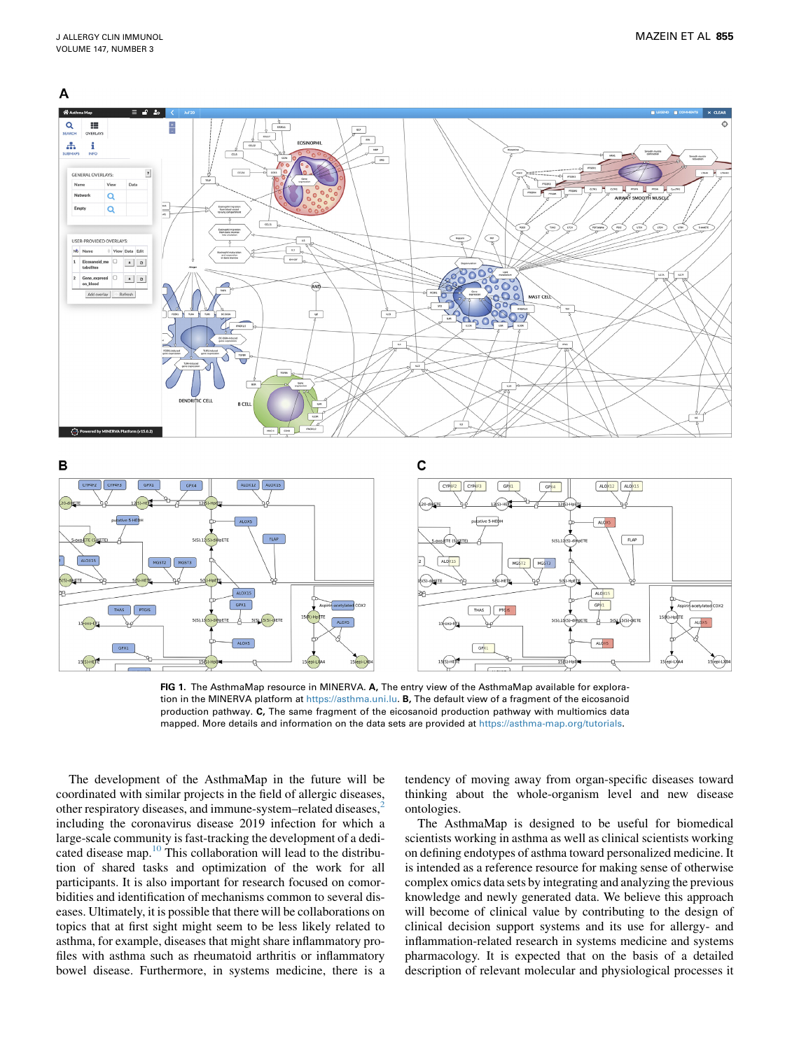<span id="page-2-0"></span>





FIG 1. The AsthmaMap resource in MINERVA. A, The entry view of the AsthmaMap available for exploration in the MINERVA platform at <https://asthma.uni.lu>. B, The default view of a fragment of the eicosanoid production pathway. C, The same fragment of the eicosanoid production pathway with multiomics data mapped. More details and information on the data sets are provided at [https://asthma-map.org/tutorials.](https://asthma-map.org/tutorials)

The development of the AsthmaMap in the future will be coordinated with similar projects in the field of allergic diseases, other respiratory diseases, and immune-system–related diseases,[2](#page-3-1) including the coronavirus disease 2019 infection for which a large-scale community is fast-tracking the development of a dedicated disease map[.10](#page-3-9) This collaboration will lead to the distribution of shared tasks and optimization of the work for all participants. It is also important for research focused on comorbidities and identification of mechanisms common to several diseases. Ultimately, it is possible that there will be collaborations on topics that at first sight might seem to be less likely related to asthma, for example, diseases that might share inflammatory profiles with asthma such as rheumatoid arthritis or inflammatory bowel disease. Furthermore, in systems medicine, there is a

tendency of moving away from organ-specific diseases toward thinking about the whole-organism level and new disease ontologies.

The AsthmaMap is designed to be useful for biomedical scientists working in asthma as well as clinical scientists working on defining endotypes of asthma toward personalized medicine. It is intended as a reference resource for making sense of otherwise complex omics data sets by integrating and analyzing the previous knowledge and newly generated data. We believe this approach will become of clinical value by contributing to the design of clinical decision support systems and its use for allergy- and inflammation-related research in systems medicine and systems pharmacology. It is expected that on the basis of a detailed description of relevant molecular and physiological processes it